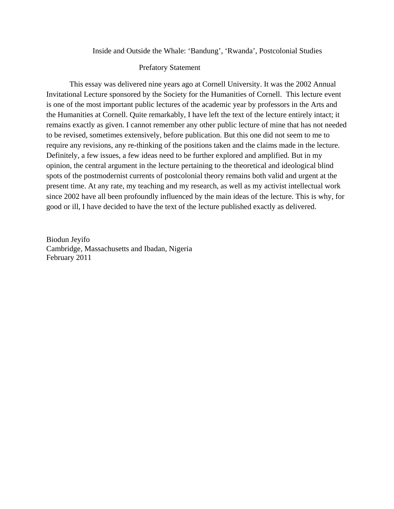Inside and Outside the Whale: 'Bandung', 'Rwanda', Postcolonial Studies

## Prefatory Statement

This essay was delivered nine years ago at Cornell University. It was the 2002 Annual Invitational Lecture sponsored by the Society for the Humanities of Cornell. This lecture event is one of the most important public lectures of the academic year by professors in the Arts and the Humanities at Cornell. Quite remarkably, I have left the text of the lecture entirely intact; it remains exactly as given. I cannot remember any other public lecture of mine that has not needed to be revised, sometimes extensively, before publication. But this one did not seem to me to require any revisions, any re-thinking of the positions taken and the claims made in the lecture. Definitely, a few issues, a few ideas need to be further explored and amplified. But in my opinion, the central argument in the lecture pertaining to the theoretical and ideological blind spots of the postmodernist currents of postcolonial theory remains both valid and urgent at the present time. At any rate, my teaching and my research, as well as my activist intellectual work since 2002 have all been profoundly influenced by the main ideas of the lecture. This is why, for good or ill, I have decided to have the text of the lecture published exactly as delivered.

Biodun Jeyifo Cambridge, Massachusetts and Ibadan, Nigeria February 2011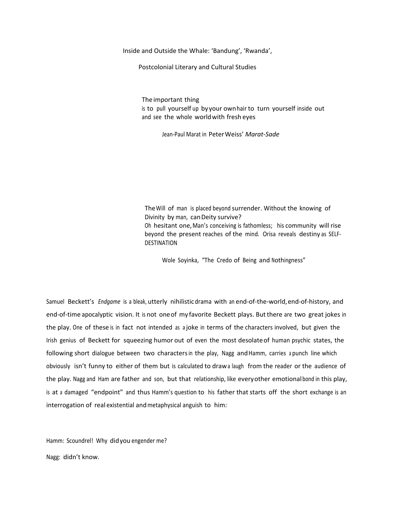Inside and Outside the Whale: 'Bandung', 'Rwanda',

Postcolonial Literary and Cultural Studies

The important thing is to pull yourself up by your ownhair to turn yourself inside out and see the whole worldwith fresh eyes

Jean‐Paul Marat in PeterWeiss' *Marat‐Sade*

TheWill of man is placed beyond surrender. Without the knowing of Divinity by man, canDeity survive? Oh hesitant one,Man's conceiving is fathomless; his community will rise beyond the present reaches of the mind. Orisa reveals destiny as SELF‐ DESTINATION

Wole Soyinka, "The Credo of Being and Nothingness"

Samuel Beckett's *Endgame* is a bleak, utterly nihilistic drama with an end-of-the-world, end-of-history, and end-of-time apocalyptic vision. It is not one of my favorite Beckett plays. But there are two great jokes in the play. One of these is in fact not intended as a joke in terms of the characters involved, but given the Irish genius of Beckett for squeezing humor out of even the most desolate of human psychic states, the following short dialogue between two characters in the play, Nagg and Hamm, carries a punch line which obviously isn't funny to either of them but is calculated to drawa laugh from the reader or the audience of the play. Nagg and Ham are father and son, but that relationship, like everyother emotionalbond in this play, is at a damaged "endpoint" and thus Hamm's question to his father that starts off the short exchange is an interrogation of real existential andmetaphysical anguish to him:

Hamm: Scoundrel! Why didyou engender me?

Nagg: Ididn't know.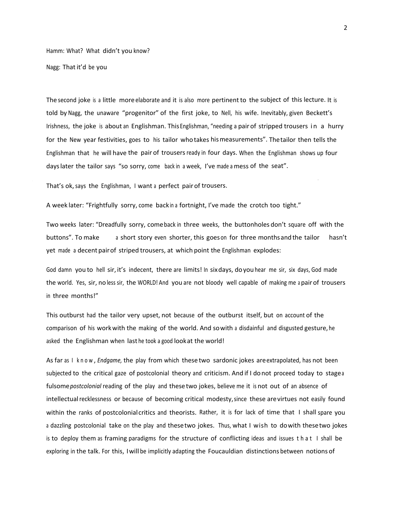Hamm: What? What didn't you know?

Nagg: Thatit'd be you

The second joke is <sup>a</sup> little more elaborate and it is also more pertinent to the subject of this lecture. It is told by Nagg, the unaware "progenitor" of the first joke, to Nell, his wife. Inevitably, given Beckett's Irishness, the joke is about an Englishman. ThisEnglishman, "needing a pairof stripped trousers i n a hurry for the New year festivities, goes to his tailor whotakes hismeasurements". Thetailor then tells the Englishman that he will have the pair of trousersready in four days. When the Englishman shows up four days later the tailor says "so sorry, come back in a week, I've made a mess of the seat".

That's ok,says the Englishman, I want <sup>a</sup> perfect pair of trousers.

A week later: "Frightfully sorry, come backina fortnight, I've made the crotch too tight."

Two weeks later: "Dreadfully sorry, comeback in three weeks, the buttonholes don't square off with the buttons". To make a short story even shorter, this goes on for three months and the tailor hasn't yet made a decent pairof striped trousers, at which point the Englishman explodes:

God damn you to hell sir, it's indecent, there are limits! In sixdays, doyou hear me sir, six days, God made the world. Yes, sir, noless sir, the WORLD! And you are not bloody well capable of making me <sup>a</sup> pair of trousers in three months!"

This outburst had the tailor very upset, not because of the outburst itself, but on account of the comparison of his workwith the making of the world. And sowith <sup>a</sup> disdainful and disgusted gesture, he asked the Englishman when last he took a good lookat the world!

As far as I know , *Endgame,* the play from which these two sardonic jokes areextrapolated, has not been subjected to the critical gaze of postcolonial theory and criticism. And if I donot proceed today to stagea fulsome*postcolonial* reading of the play and thesetwo jokes, believe me it is not out of an absence of intellectual recklessness or because of becoming critical modesty, since these are virtues not easily found within the ranks of postcolonialcritics and theorists. Rather, it is for lack of time that I shall spare you <sup>a</sup> dazzling postcolonial take on the play and thesetwo jokes. Thus, what I wish to dowith thesetwo jokes is to deploy them as framing paradigms for the structure of conflicting ideas and issues that I shall be exploring in the talk. For this, Iwill be implicitly adapting the Foucauldian distinctions between notions of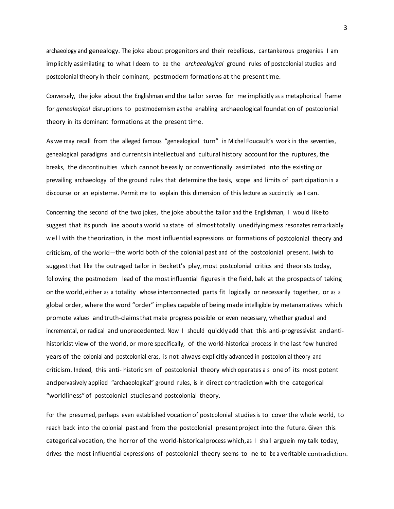archaeology and genealogy. The joke about progenitors and their rebellious, cantankerous progenies I am implicitly assimilating to what I deem to be the *archaeological* ground rules of postcolonial studies and postcolonial theory in their dominant, postmodern formations at the present time.

Conversely, the joke about the Englishman and the tailor serves for me implicitly as a metaphorical frame for *genealogical* disruptions to postmodernism asthe enabling archaeological foundation of postcolonial theory in its dominant formations at the present time.

As we may recall from the alleged famous "genealogical turn" in Michel Foucault's work in the seventies, genealogical paradigms and currentsin intellectual and cultural history accountfor the ruptures, the breaks, the discontinuities which cannot be easily or conventionally assimilated into the existing or prevailing archaeology of the ground rules that determine the basis, scope and limits of participation in a discourse or an episteme. Permit me to explain this dimension of this lecture as succinctly as I can.

Concerning the second of the two jokes, the joke aboutthe tailor and the Englishman, I would liketo suggest that its punch line about <sup>a</sup> worldin <sup>a</sup> state of almosttotally unedifyingmess resonates remarkably well with the theorization, in the most influential expressions or formations of postcolonial theory and criticism, of the world—the world both of the colonial past and of the postcolonial present. Iwish to suggestthat like the outraged tailor in Beckett's play,most postcolonial critics and theorists today, following the postmodern lead of the most influential figures in the field, balk at the prospects of taking onthe world,either as a totality whose interconnected parts fit logically or necessarily together, or as a global order, where the word "order" implies capable of being made intelligible by metanarratives which promote values andtruth‐claimsthat make progress possible or even necessary, whether gradual and incremental, or radical and unprecedented. Now I should quickly add that this anti-progressivist and antihistoricist view of the world, or more specifically, of the world‐historical process in the last few hundred years of the colonial and postcolonial eras, is not always explicitly advanced in postcolonial theory and criticism. Indeed, this anti‐ historicism of postcolonial theory which operates a s oneof its most potent andpervasively applied "archaeological" ground rules, is in direct contradiction with the categorical "worldliness"of postcolonial studies and postcolonial theory.

For the presumed, perhaps even established vocationof postcolonial studiesis to coverthe whole world, to reach back into the colonial past and from the postcolonial presentproject into the future. Given this categoricalvocation, the horror of the world‐historical process which,as I shall arguein my talk today, drives the most influential expressions of postcolonial theory seems to me to be a veritable contradiction.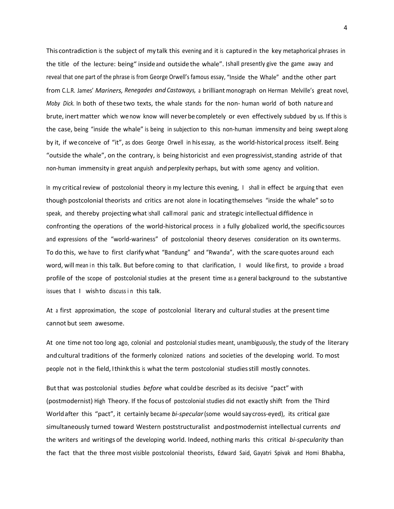This contradiction is the subject of my talk this evening and it is captured in the key metaphorical phrases in the title of the lecture: being" insideand outsidethe whale". Ishall presently give the game away and reveal that one part of the phrase is from George Orwell's famous essay, "Inside the Whale" andthe other part from C.L.R. James' *Mariners, Renegades and Castaways,* <sup>a</sup> brilliantmonograph on Herman Melville's great novel, *Moby Dick.* In both of these two texts, the whale stands for the non‐ human world of both nature and brute, inert matter which wenow know will neverbecompletely or even effectively subdued by us. If this is the case, being "inside the whale" is being in subjection to this non‐human immensity and being swept along by it, if weconceive of "it", as does George Orwell in his essay, as the world‐historical process itself. Being "outside the whale", on the contrary, is being historicist and even progressivist,standing astride of that non-human immensity in great anguish and perplexity perhaps, but with some agency and volition.

In my critical review of postcolonial theory in my lecture this evening, I shall in effect be arguing that even though postcolonial theorists and critics are not alone in locatingthemselves "inside the whale" so to speak, and thereby projecting what Ishall callmoral panic and strategic intellectual diffidence in confronting the operations of the world-historical process in a fully globalized world, the specific sources and expressions of the "world-wariness" of postcolonial theory deserves consideration on its ownterms. To do this, we have to first clarify what "Bandung" and "Rwanda", with the scarequotes around each word, will mean in this talk. But before coming to that clarification, I would like first, to provide a broad profile of the scope of postcolonial studies at the present time as a general background to the substantive issues that I wishto discuss in this talk.

At <sup>a</sup> first approximation, the scope of postcolonial literary and cultural studies at the present time cannot but seem awesome.

At one time not too long ago, colonial and postcolonial studies meant, unambiguously, the study of the literary and cultural traditions of the formerly colonized nations and societies of the developing world. To most people not in the field, Ithinkthis is what the term postcolonial studiesstill mostly connotes.

Butthat was postcolonial studies *before* what couldbe described as its decisive "pact" with (postmodernist) High Theory. If the focus of postcolonial studies did not exactly shift from the Third Worldafter this "pact", it certainly became *bi‐specular*(some would saycross‐eyed), its critical gaze simultaneously turned toward Western poststructuralist andpostmodernist intellectual currents *and* the writers and writings of the developing world. Indeed, nothing marks this critical *bi‐specularity* than the fact that the three most visible postcolonial theorists, Edward Said, Gayatri Spivak and Homi Bhabha,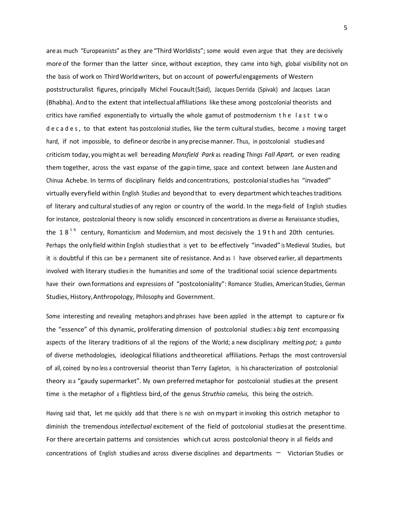areas much "Europeanists" as they are "Third Worldists"; some would even argue that they are decisively more of the former than the latter since, without exception, they came into high, global visibility not on the basis of work on ThirdWorldwriters, but on account of powerful engagements of Western poststructuralist figures, principally Michel Foucault(Said), Jacques Derrida (Spivak) and Jacques Lacan (Bhabha). And to the extent that intellectual affiliations like these among postcolonial theorists and critics have ramified exponentially to virtually the whole gamut of postmodernism the last two decades, to that extent has postcolonial studies, like the term culturalstudies, become <sup>a</sup> moving target hard, if not impossible, to define or describe in any precise manner. Thus, in postcolonial studies and criticism today, youmight as well bereading *Mansfield Park* as reading *Things Fall Apart,* or even reading them together, across the vast expanse of the gapin time, space and context between Jane Austenand Chinua Achebe. In terms of disciplinary fields andconcentrations, postcolonialstudies has "invaded" virtually everyfield within English Studies and beyondthat to every department which teachestraditions of literary and cultural studies of any region or country of the world. In the mega-field of English studies for instance, postcolonial theory is now solidly ensconced in concentrations as diverse as Renaissance studies, the 18<sup>th</sup> century, Romanticism and Modernism, and most decisively the 19th and 20th centuries. Perhaps the only field within English studiesthat is yet to be effectively "invaded" is Medieval Studies, but it is doubtful if this can be <sup>a</sup> permanent site of resistance. And as I have observed earlier, all departments involved with literary studiesin the humanities and some of the traditional social science departments have their own formations and expressions of "postcoloniality": Romance Studies, American Studies, German Studies, History,Anthropology, Philosophy and Government.

Some interesting and revealing metaphors and phrases have been applied in the attempt to capture or fix the "essence" of this dynamic, proliferating dimension of postcolonial studies: <sup>a</sup> *big tent* encompassing aspects of the literary traditions of all the regions of the World; a new disciplinary *melting pot;* a *gumbo*  of diverse methodologies, ideological filiations andtheoretical affiliations. Perhaps the most controversial of all, coined by no less a controversial theorist than Terry Eagleton, is his characterization of postcolonial theory as <sup>a</sup> "gaudy supermarket". My own preferred metaphor for postcolonial studies at the present time is the metaphor of <sup>a</sup> flightless bird,of the genus *Struthio camelus,* this being the ostrich.

Having said that, let me quickly add that there is no wish on mypart in invoking this ostrich metaphor to diminish the tremendous *intellectual* excitement of the field of postcolonial studiesat the presenttime. For there arecertain patterns and consistencies which cut across postcolonial theory in all fields and concentrations of English studies and across diverse disciplines and departments  $-$  Victorian Studies or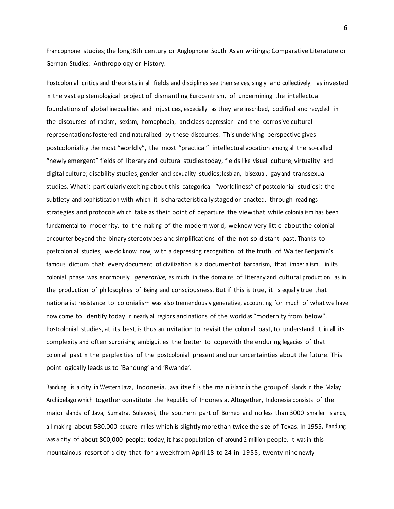Francophone studies;the long 18th century or Anglophone South Asian writings; Comparative Literature or German Studies; Anthropology or History.

Postcolonial critics and theorists in all fields and disciplines see themselves, singly and collectively, as invested in the vast epistemological project of dismantling Eurocentrism, of undermining the intellectual foundationsof global inequalities and injustices, especially as they are inscribed, codified and recycled in the discourses of racism, sexism, homophobia, andclass oppression and the corrosive cultural representationsfostered and naturalized by these discourses. This underlying perspective gives postcoloniality the most "worldly", the most "practical" intellectual vocation among all the so-called "newly emergent" fields of literary and cultural studiestoday, fields like visual culture; virtuality and digital culture; disability studies; gender and sexuality studies; lesbian, bisexual, gay and transsexual studies. What is particularly exciting about this categorical "worldliness" of postcolonial studiesis the subtlety and sophistication with which it is characteristicallystaged or enacted, through readings strategies and protocolswhich take as their point of departure the viewthat while colonialism has been fundamental to modernity, to the making of the modern world, weknow very little aboutthe colonial encounter beyond the binary stereotypes andsimplifications of the not‐so‐distant past. Thanks to postcolonial studies, we do know now, with <sup>a</sup> depressing recognition of the truth of Walter Benjamin's famous dictum that every document of civilization is a document of barbarism, that imperialism, in its colonial phase, was enormously *generative,* as much in the domains of literary and cultural production as in the production of philosophies of Being and consciousness. But if this is true, it is equally true that nationalist resistance to colonialism was also tremendously generative, accounting for much of what we have now come to identify today in nearly all regions and nations of the world as "modernity from below". Postcolonial studies, at its best, is thus an invitation to revisit the colonial past, to understand it in all its complexity and often surprising ambiguities the better to copewith the enduring legacies of that colonial past in the perplexities of the postcolonial present and our uncertainties about the future. This point logically leads us to 'Bandung' and 'Rwanda'.

Bandung is a city in Western Java, Indonesia. Java itself is the main island in the group of islands in the Malay Archipelago which together constitute the Republic of Indonesia. Altogether, Indonesia consists of the majorislands of Java, Sumatra, Sulewesi, the southern part of Borneo and no less than 3000 smaller islands, all making about 580,000 square miles which is slightly morethan twice the size of Texas. In 1955, Bandung was a city of about 800,000 people; today, it has <sup>a</sup> population of around 2 million people. It was in this mountainous resort of a city that for a weekfrom April 18 to 24 in 1955, twenty-nine newly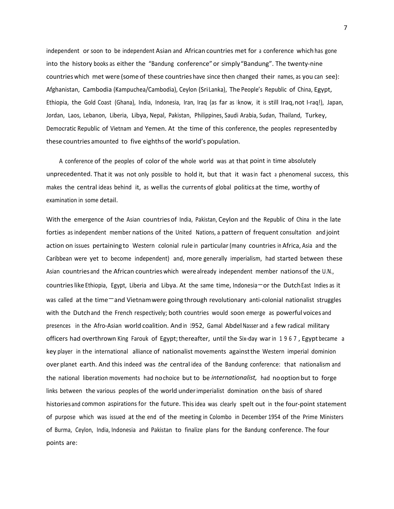independent or soon to be independent Asian and African countries met for <sup>a</sup> conference which has gone into the history books as either the "Bandung conference" or simply "Bandung". The twenty-nine countries which met were (someof these countrieshave since then changed their names, as you can see): Afghanistan, Cambodia (Kampuchea/Cambodia), Ceylon (SriLanka), The People's Republic of China, Egypt, Ethiopia, the Gold Coast (Ghana), India, Indonesia, Iran, Iraq (as far as Iknow, it is still Iraq,not I-raq!), Japan, Jordan, Laos, Lebanon, Liberia, Libya, Nepal, Pakistan, Philippines, Saudi Arabia, Sudan, Thailand, Turkey, Democratic Republic of Vietnam and Yemen. At the time of this conference, the peoples representedby these countries amounted to five eighths of the world's population.

 A conference of the peoples of color of the whole world was at that point in time absolutely unprecedented. That it was not only possible to hold it, but that it wasin fact <sup>a</sup> phenomenal success, this makes the central ideas behind it, as wellas the currents of global politics at the time, worthy of examination in some detail.

With the emergence of the Asian countries of India, Pakistan, Ceylon and the Republic of China in the late forties as independent member nations of the United Nations, a pattern of frequent consultation and joint action on issues pertaining to Western colonial rule in particular(many countries in Africa, Asia and the Caribbean were yet to become independent) and, more generally imperialism, had started between these Asian countriesand the African countrieswhich werealready independent member nationsof the U.N., countries like Ethiopia, Egypt, Liberia and Libya. At the same time, Indonesia or the Dutch East Indies as it was called at the time<sup>-</sup>and Vietnamwere going through revolutionary anti-colonial nationalist struggles with the Dutchand the French respectively; both countries would soon emerge as powerful voices and presences in the Afro-Asian world coalition. And in 1952, Gamal Abdel Nasser and a few radical military officers had overthrown King Farouk of Egypt; thereafter, until the Six-day war in 1967, Egypt became a key player in the international alliance of nationalist movements againstthe Western imperial dominion over planet earth. And this indeed was *the* central idea of the Bandung conference: that nationalism and the national liberation movements had nochoice but to be *internationalist,* had nooption but to forge links between the various peoples of the world underimperialist domination onthe basis of shared histories and common aspirations for the future. This idea was clearly spelt out in the four-point statement of purpose which was issued at the end of the meeting in Colombo in December 1954 of the Prime Ministers of Burma, Ceylon, India, Indonesia and Pakistan to finalize plans for the Bandung conference. The four points are: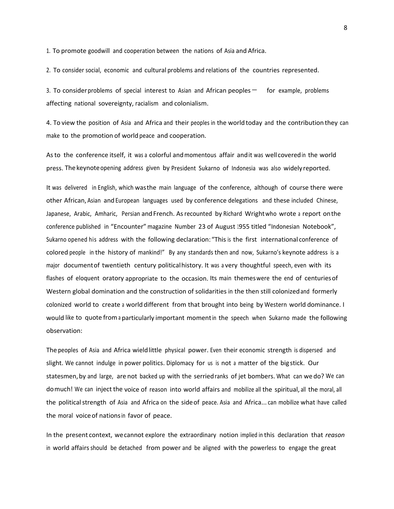1. To promote goodwill and cooperation between the nations of Asia and Africa.

2. To consider social, economic and cultural problems and relations of the countries represented.

3. To consider problems of special interest to Asian and African peoples  $-$  for example, problems affecting national sovereignty, racialism and colonialism.

4. To view the position of Asia and Africa and their peoples in the world today and the contribution they can make to the promotion of world peace and cooperation.

Asto the conference itself, it was a colorful andmomentous affair andit was well coveredin the world press. Thekeynoteopening address given by President Sukarno of Indonesia was also widelyreported.

It was delivered in English, which wasthe main language of the conference, although of course there were other African, Asian andEuropean languages used by conference delegations and these included Chinese, Japanese, Arabic, Amharic, Persian and French. As recounted by Richard Wrightwho wrote a report on the conference published in "Encounter" magazine Number 23 of August 1955 titled "Indonesian Notebook", Sukarno opened his address with the following declaration: "This is the first international conference of colored people in the history of mankind!" By any standards then and now, Sukarno's keynote address is a major document of twentieth century political history. It was a very thoughtful speech, even with its flashes of eloquent oratory appropriate to the occasion. Its main themeswere the end of centuriesof Western global domination and the construction of solidarities in the then still colonizedand formerly colonized world to create <sup>a</sup> world different from that brought into being by Western world dominance. I would like to quote from <sup>a</sup> particularly important momentin the speech when Sukarno made the following observation:

The peoples of Asia and Africa wieldlittle physical power. Even their economic strength is dispersed and slight. We cannot indulge in power politics. Diplomacy for us is not <sup>a</sup> matter of the big stick. Our statesmen,by and large, are not backed up with the serriedranks of jet bombers. What can we do? We can domuch! We can inject the voice of reason into world affairs and mobilize all the spiritual, all the moral, all the political strength of Asia and Africa on the side of peace. Asia and Africa... can mobilize what lhave called the moral voiceof nationsin favor of peace.

In the present context, wecannot explore the extraordinary notion implied in this declaration that *reason* in world affairsshould be detached from power and be aligned with the powerless to engage the great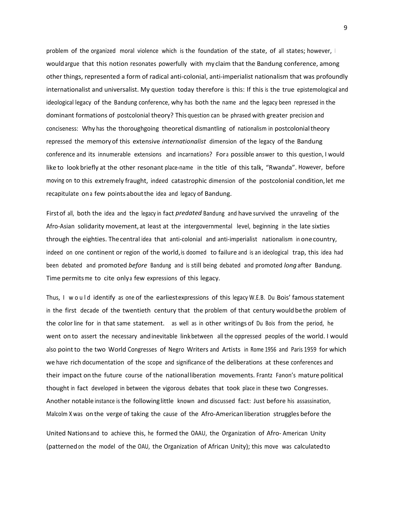problem of the organized moral violence which is the foundation of the state, of all states; however, I wouldargue that this notion resonates powerfully with my claim that the Bandung conference, among other things, represented a form of radical anti‐colonial, anti‐imperialist nationalism that was profoundly internationalist and universalist. My question today therefore is this: If this is the true epistemological and ideological legacy of the Bandung conference, why has both the name and the legacy been repressed in the dominant formations of postcolonial theory? This question can be phrased with greater precision and conciseness: Why has the thoroughgoing theoretical dismantling of nationalism in postcolonialtheory repressed the memoryof this extensive *internationalist* dimension of the legacy of the Bandung conference and its innumerable extensions and incarnations? For a possible answer to this question, I would like to look briefly at the other resonant place-name in the title of this talk, "Rwanda". However, before moving on to this extremely fraught, indeed catastrophic dimension of the postcolonial condition, let me recapitulate ona few points aboutthe idea and legacy of Bandung.

Firstof all, both the idea and the legacy in fact *predated* Bandung and have survived the unraveling of the Afro-Asian solidarity movement, at least at the intergovernmental level, beginning in the late sixties through the eighties. Thecentral idea that anti‐colonial and anti‐imperialist nationalism in one country, indeed on one continent or region of the world,is doomed to failure and is an ideological trap, this idea had been debated and promoted *before* Bandung and is still being debated and promoted *long* after Bandung. Time permitsme to cite only a few expressions of this legacy.

Thus, I would identify as one of the earliest expressions of this legacy W.E.B. Du Bois' famous statement in the first decade of the twentieth century that the problem of that century would bethe problem of the color line for in that same statement. as well as in other writings of Du Bois from the period, he went on to assert the necessary andinevitable linkbetween all the oppressed peoples of the world. I would also pointto the two World Congresses of Negro Writers and Artists in Rome 1956 and Paris 1959 for which we have rich documentation of the scope and significance of the deliberations at these conferences and their impact on the future course of the nationalliberation movements. Frantz Fanon's mature political thought in fact developed in between the vigorous debates that took place in these two Congresses. Another notable instance is the following little known and discussed fact: Just before his assassination, Malcolm X was on the verge of taking the cause of the Afro-American liberation struggles before the

United Nationsand to achieve this, he formed the OAAU, the Organization of Afro‐ American Unity (patterned on the model of the OAU, the Organization of African Unity); this move was calculatedto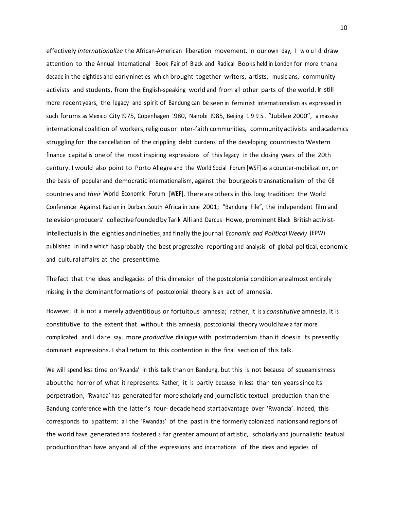effectively *internationalize* the African‐American liberation movement. In our own day, I would draw attention to the Annual International Book Fair of Black and Radical Books held in London for more than <sup>a</sup> decade in the eighties and earlynineties which brought together writers, artists, musicians, community activists and students, from the English‐speaking world and from all other parts of the world. In still more recent years, the legacy and spirit of Bandung can be seenin feminist internationalism as expressed in such forums as Mexico City 1975, Copenhagen 1980, Nairobi 1985, Beijing 1995 . "Jubilee 2000", a massive international coalition of workers, religious or inter-faith communities, community activists and academics struggling for the cancellation of the crippling debt burdens of the developing countriesto Western finance capital is one of the most inspiring expressions of this legacy in the closing years of the 20th century. I would also point to Porto Allegre and the World Social Forum [WSF] as a counter‐mobilization, on the basis of popular and democratic internationalism, against the bourgeois transnationalism of the G8 countries and *their* World Economic Forum [WEF]. There areothers in this long tradition: the World Conference Against Racism in Durban, South Africa in June 2001; "Bandung File", the independent film and television producers' collective foundedby Tarik Alli and Darcus Howe, prominent Black British activist‐ intellectuals in the eighties and nineties; and finally the journal *Economic and Political Weekly* (EPW) published in India which hasprobably the best progressive reporting and analysis of global political, economic and cultural affairs at the presenttime.

Thefact that the ideas andlegacies of this dimension of the postcolonialconditionarealmost entirely missing in the dominantformations of postcolonial theory is an act of amnesia.

However, it is not <sup>a</sup> merely adventitious or fortuitous amnesia; rather, it is <sup>a</sup> *constitutive* amnesia. It is constitutive to the extent that without this amnesia, postcolonial theory would have a far more complicated and I dare say, more *productive* dialogue with postmodernism than it doesin its presently dominant expressions. I shallreturn to this contention in the final section of this talk.

We will spend less time on 'Rwanda' in this talk than on Bandung, but this is not because of squeamishness aboutthe horror of what it represents. Rather, it is partly because in less than ten yearssince its perpetration, 'Rwanda' has generated far more scholarly and journalistic textual production than the Bandung conference with the latter's four‐ decadehead startadvantage over 'Rwanda'. Indeed, this corresponds to <sup>a</sup> pattern: all the 'Rwandas' of the past in the formerly colonized nations and regionsof the world have generatedand fostered <sup>a</sup> far greater amount of artistic, scholarly and journalistic textual productionthan have any and all of the expressions and incarnations of the ideas andlegacies of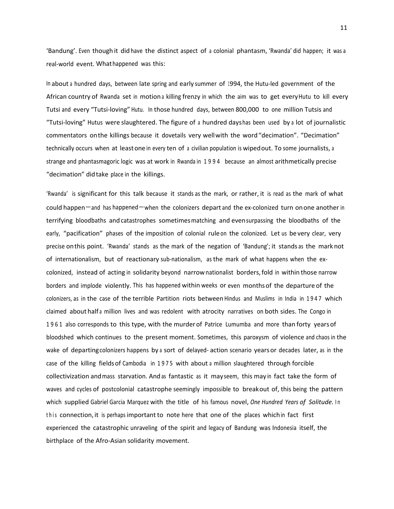'Bandung'. Even though it did have the distinct aspect of <sup>a</sup> colonial phantasm, 'Rwanda' did happen; it was a real‐world event. Whathappened was this:

In about a hundred days, between late spring and early summer of 1994, the Hutu-led government of the African country of Rwanda set in motion <sup>a</sup> killing frenzy in which the aim was to get everyHutu to kill every Tutsi and every "Tutsi‐loving" Hutu. In those hundred days, between 800,000 to one million Tutsis and "Tutsi‐loving" Hutus were slaughtered. The figure of <sup>a</sup> hundred dayshas been used by <sup>a</sup> lot of journalistic commentators onthe killings because it dovetails very wellwith the word"decimation". "Decimation" technically occurs when at leastone in every ten of <sup>a</sup> civilian population is wipedout. To some journalists, <sup>a</sup> strange and phantasmagoric logic was at work in Rwanda in 1994 because an almost arithmetically precise "decimation" didtake place in the killings.

'Rwanda' is significant for this talk because it stands as the mark, or rather, it is read as the mark of what could happen—and has happened—when the colonizers depart and the ex-colonized turn on one another in terrifying bloodbaths andcatastrophes sometimesmatching and evensurpassing the bloodbaths of the early, "pacification" phases of the imposition of colonial rule on the colonized. Let us be very clear, very precise on this point. 'Rwanda' stands as the mark of the negation of 'Bandung'; it stands as the mark not of internationalism, but of reactionary sub‐nationalism, as the mark of what happens when the ex‐ colonized, instead of acting in solidarity beyond narrownationalist borders,fold in within those narrow borders and implode violently. This has happened within weeks or even monthsof the departure of the colonizers, as in the case of the terrible Partition riots between Hindus and Muslims in India in 1947 which claimed about half <sup>a</sup> million lives and was redolent with atrocity narratives on both sides. The Congo in 1961 also corresponds to this type, with the murderof Patrice Lumumba and more than forty yearsof bloodshed which continues to the present moment. Sometimes, this paroxysm of violence and chaos in the wake of departing colonizers happens by a sort of delayed-action scenario years or decades later, as in the case of the killing fieldsof Cambodia in 1975 with about <sup>a</sup> million slaughtered through forcible collectivization andmass starvation. Andas fantastic as it mayseem, this may in fact take the form of waves and cycles of postcolonial catastrophe seemingly impossible to breakout of, this being the pattern which supplied Gabriel Garcia Marquez with the title of his famous novel, *One Hundred Years of Solitude.* I n this connection, it is perhaps important to note here that one of the places whichin fact first experienced the catastrophic unraveling of the spirit and legacy of Bandung was Indonesia itself, the birthplace of the Afro‐Asian solidarity movement.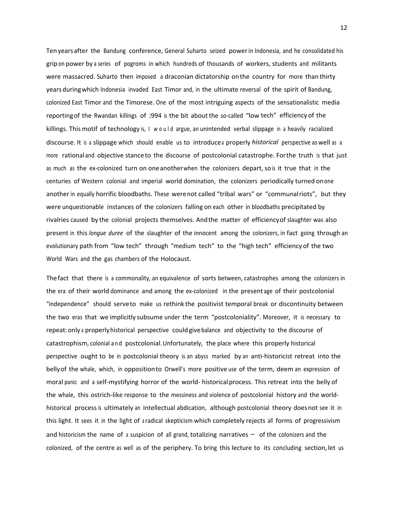Tenyearsafter the Bandung conference, General Suharto seized powerin Indonesia, and he consolidated his grip on power by a series of pogroms in which hundreds of thousands of workers, students and militants were massacred. Suharto then imposed a draconian dictatorship on the country for more than thirty yearsduringwhich Indonesia invaded East Timor and, in the ultimate reversal of the spirit of Bandung, colonized East Timor and the Timorese. One of the most intriguing aspects of the sensationalistic media reporting of the Rwandan killings of 1994 is the bit about the so-called "low tech" efficiency of the killings. This motif of technology is, I would argue, an unintended verbal slippage in <sup>a</sup> heavily racialized discourse. It is <sup>a</sup> slippage which should enable us to introducea properly *historical* perspective as well as a more rationaland objective stance to the discourse of postcolonial catastrophe. For the truth is that just as much as the ex-colonized turn on one anotherwhen the colonizers depart, so is it true that in the centuries of Western colonial and imperial world domination, the colonizers periodically turned onone another in equally horrific bloodbaths. These werenot called "tribal wars" or "communalriots", but they were unquestionable instances of the colonizers falling on each other in bloodbaths precipitated by rivalries caused by the colonial projects themselves. Andthe matter of efficiencyof slaughter was also present in this *longue duree* of the slaughter of the innocent among the colonizers, in fact going through an evolutionary path from "low tech" through "medium tech" to the "high tech" efficiency of the two World Wars and the gas chambers of the Holocaust.

The fact that there is a commonality, an equivalence of sorts between, catastrophes among the colonizers in the era of their world dominance and among the ex‐colonized in the present age of their postcolonial "independence" should serveto make us rethink the positivist temporal break or discontinuity between the two eras that we implicitly subsume under the term "postcoloniality". Moreover, it is necessary to repeat:only <sup>a</sup> properlyhistorical perspective could givebalance and objectivity to the discourse of catastrophism, colonial and postcolonial.Unfortunately, the place where this properly historical perspective ought to be in postcolonial theory is an abyss marked by an anti-historicist retreat into the belly of the whale, which, in opposition to Orwell's more positive use of the term, Ideem an expression of moral panic and a self-mystifying horror of the world- historical process. This retreat into the belly of the whale, this ostrich‐like response to the messiness and violence of postcolonial history and the world‐ historical processis ultimately an intellectual abdication, although postcolonial theory doesnot see it in this light. It sees it in the light of <sup>a</sup> radical skepticism which completely rejects all forms of progressivism and historicism the name of a suspicion of all grand, totalizing narratives  $-$  of the colonizers and the colonized, of the centre as well as of the periphery. To bring this lecture to its concluding section, let us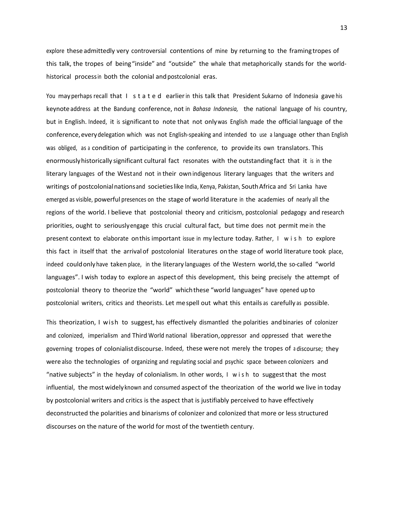explore these admittedly very controversial contentions of mine by returning to the framing tropes of this talk, the tropes of being "inside" and "outside" the whale that metaphorically stands for the worldhistorical processin both the colonial and postcolonial eras.

You may perhaps recall that I stated earlier in this talk that President Sukarno of Indonesia gave his keynoteaddress at the Bandung conference, not in *Bahasa Indonesia,*  the national language of his country, but in English. Indeed, it is significant to note that not onlywas English made the official language of the conference, every delegation which was not English-speaking and intended to use a language other than English was obliged, as a condition of participating in the conference, to provide its own translators. This enormouslyhistorically significant cultural fact resonates with the outstandingfact that it is in the literary languages of the Westand not in their ownindigenous literary languages that the writers and writings of postcolonialnationsand societieslike India, Kenya, Pakistan, SouthAfrica and Sri Lanka have emerged as visible, powerful presences on the stage of world literature in the academies of nearly all the regions of the world. I believe that postcolonial theory and criticism, postcolonial pedagogy and research priorities, ought to seriouslyengage this crucial cultural fact, but time does not permit mein the present context to elaborate onthis important issue in my lecture today. Rather, I wish to explore this fact in itself that the arrival of postcolonial literatures on the stage of world literature took place, indeed couldonly have taken place, in the literary languages of the Western world, the so-called "world languages". I wish today to explore an aspect of this development, this being precisely the attempt of postcolonial theory to theorize the "world" whichthese "world languages" have opened upto postcolonial writers, critics and theorists. Let mespell out what this entails as carefully as possible.

This theorization, I wish to suggest, has effectively dismantled the polarities andbinaries of colonizer and colonized, imperialism and Third World national liberation, oppressor and oppressed that werethe governing tropes of colonialistdiscourse. Indeed, these were not merely the tropes of <sup>a</sup> discourse; they were also the technologies of organizing and regulating social and psychic space between colonizers and "native subjects" in the heyday of colonialism. In other words, I wish to suggestthat the most influential, the most widely known and consumed aspectof the theorization of the world we live in today by postcolonial writers and critics is the aspect that is justifiably perceived to have effectively deconstructed the polarities and binarisms of colonizer and colonized that more or less structured discourses on the nature of the world for most of the twentieth century.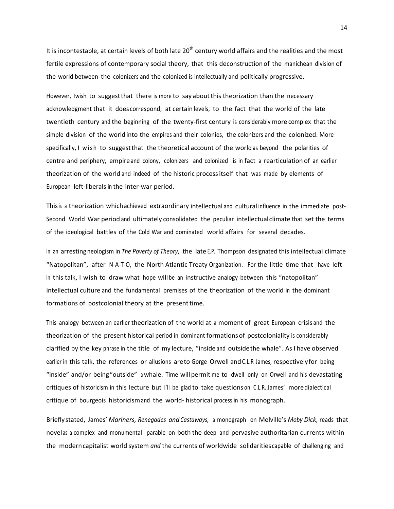It is incontestable, at certain levels of both late  $20<sup>th</sup>$  century world affairs and the realities and the most fertile expressions of contemporary social theory, that this deconstructionof the manichean division of the world between the colonizers and the colonized is intellectually and politically progressive.

However, Iwish to suggest that there is more to say about this theorization than the necessary acknowledgment that it doescorrespond, at certain levels, to the fact that the world of the late twentieth century and the beginning of the twenty‐first century is considerably more complex that the simple division of the world into the empires and their colonies, the colonizers and the colonized. More specifically, I wish to suggest that the theoretical account of the world as beyond the polarities of centre and periphery, empireand colony, colonizers and colonized is in fact <sup>a</sup> rearticulation of an earlier theorization of the world and indeed of the historic processitself that was made by elements of European left‐liberals in the inter‐war period.

Thisis <sup>a</sup> theorization whichachieved extraordinary intellectual and cultural influence in the immediate post‐ Second World War period and ultimately consolidated the peculiar intellectualclimate that set the terms of the ideological battles of the Cold War and dominated world affairs for several decades.

In an arrestingneologism in *The Poverty of Theory*, the late E.P. Thompson designated this intellectual climate "Natopolitan", after N‐A‐T‐O, the North Atlantic Treaty Organization. For the little time that Ihave left in this talk, I wish to draw what lhope will be an instructive analogy between this "natopolitan" intellectual culture and the fundamental premises of the theorization of the world in the dominant formations of postcolonial theory at the present time.

This analogy between an earlier theorization of the world at <sup>a</sup> moment of great European crisis and the theorization of the present historical period in dominant formationsof postcoloniality is considerably clarified by the key phrase in the title of my lecture, "inside and outsidethe whale". As I have observed earlier in this talk, the references or allusions areto Gorge Orwell and C.L.R James, respectivelyfor being "inside" and/or being"outside" <sup>a</sup> whale. Time willpermit me to dwell only on Orwell and his devastating critiques of historicism in this lecture but I'll be glad to take questions on C.L.R. James' moredialectical critique of bourgeois historicismand the world‐ historical process in his monograph.

Brieflystated, James' *Mariners, Renegades and Castaways,*  <sup>a</sup> monograph on Melville's *Moby Dick,* reads that novel as a complex and monumental parable on both the deep and pervasive authoritarian currents within the moderncapitalist world system *and* the currents of worldwide solidaritiescapable of challenging and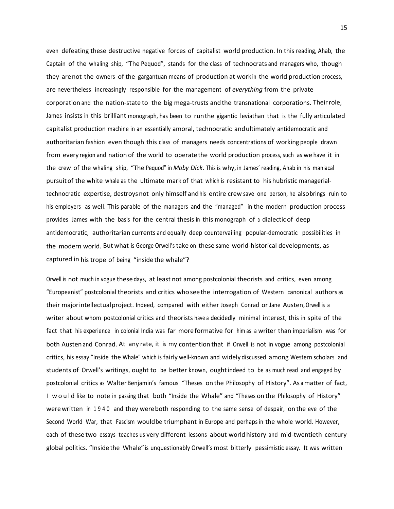even defeating these destructive negative forces of capitalist world production. In this reading, Ahab, the Captain of the whaling ship, "The Pequod", stands for the class of technocrats and managers who, though they arenot the owners of the gargantuan means of production at work in the world production process, are nevertheless increasingly responsible for the management of *everything* from the private corporation and the nation-state to the big mega-trusts and the transnational corporations. Their role, James insists in this brilliant monograph, has been to runthe gigantic leviathan that is the fully articulated capitalist production machine in an essentially amoral, technocratic andultimately antidemocratic and authoritarian fashion even though this class of managers needs concentrations of working people drawn from every region and nation of the world to operatethe world production process, such as we have it in the crew of the whaling ship, "The Pequod" in *Moby Dick.* This is why, in James' reading, Ahab in his maniacal pursuit of the white whale as the ultimate mark of that which is resistant to his hubristic managerialtechnocratic expertise, destroysnot only himself andhis entire crew save one person, he alsobrings ruin to his employers as well. This parable of the managers and the "managed" in the modern production process provides James with the basis for the central thesis in this monograph of <sup>a</sup> dialectic of deep antidemocratic, authoritarian currents and equally deep countervailing popular‐democratic possibilities in the modern world. But what is George Orwell's take on these same world‐historical developments, as captured in his trope of being "insidethe whale"?

Orwell is not much in vogue these days, at least not among postcolonial theorists and critics, even among "Europeanist" postcolonial theorists and critics who seethe interrogation of Western canonical authors as their majorintellectualproject. Indeed, compared with either Joseph Conrad or Jane Austen,Orwell is a writer about whom postcolonial critics and theorists have a decidedly minimal interest, this in spite of the fact that his experience in colonial India was far more formative for him as a writer than imperialism was for both Austen and Conrad. At any rate, it is my contention that if Orwell is not in vogue among postcolonial critics, his essay "Inside the Whale" which is fairly well‐known and widely discussed among Western scholars and students of Orwell's writings, ought to be better known, oughtindeed to be as much read and engaged by postcolonial critics as WalterBenjamin's famous "Theses on the Philosophy of History". As <sup>a</sup> matter of fact, I would like to note in passing that both "Inside the Whale" and "Theses on the Philosophy of History" werewritten in 1940 and they wereboth responding to the same sense of despair, on the eve of the Second World War, that Fascism would be triumphant in Europe and perhaps in the whole world. However, each of these two essays teaches us very different lessons about world history and mid-twentieth century global politics. "Inside the Whale"is unquestionably Orwell's most bitterly pessimistic essay. It was written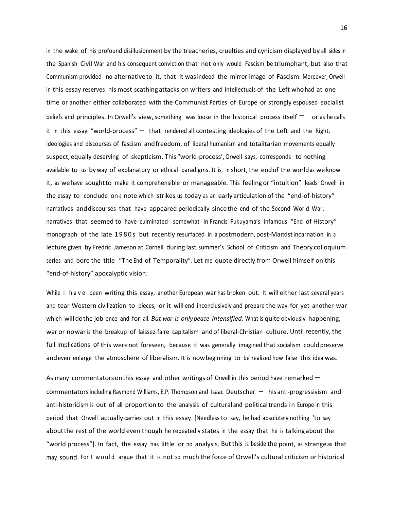in the wake of his profound disillusionment by the treacheries, cruelties and cynicism displayed by all sides in the Spanish Civil War and his consequent conviction that not only would Fascism be triumphant, but also that Communism provided no alternative to it, that it was indeed the mirror-image of Fascism. Moreover, Orwell in this essay reserves his most scathing attacks on writers and intellectuals of the Left who had at one time or another either collaborated with the Communist Parties of Europe or strongly espoused socialist beliefs and principles. In Orwell's view, something was loose in the historical process itself  $-$  or as he calls it in this essay "world-process"  $-$  that rendered all contesting ideologies of the Left and the Right, ideologies and discourses of fascism andfreedom, of liberal humanism and totalitarian movements equally suspect, equally deserving of skepticism. This "world-process', Orwell says, corresponds to nothing available to us by way of explanatory or ethical paradigms. It is, in short, the endof the worldas we know it, as we have soughtto make it comprehensible or manageable. This feeling or "intuition" leads Orwell in the essay to conclude on a note which strikes us today as an early articulation of the "end-of-history" narratives anddiscourses that have appeared periodically sincethe end of the Second World War, narratives that seemed to have culminated somewhat in Francis Fukuyama's infamous "End of History" monograph of the late 1980s but recently resurfaced in a postmodern, post-Marxistincarnation in a lecture given by Fredric Jameson at Cornell during last summer's School of Criticism and Theory colloquium series and bore the title "The End of Temporality". Let me quote directly from Orwell himself on this "end‐of‐history" apocalyptic vision:

While I have been writing this essay, another European war has broken out. It will either last several years and tear Western civilization to pieces, or it will end inconclusively and prepare the way for yet another war which willdothe job once and for all. *But war is onlypeace intensified.* What is quite obviously happening, war or nowar is the breakup of laissez-faire capitalism and of liberal-Christian culture. Until recently, the full implications of this werenot foreseen, because it was generally imagined that socialism could preserve andeven enlarge the atmosphere of liberalism. It is nowbeginning to be realized how false this idea was.

As many commentators on this essay and other writings of Orwell in this period have remarked  $$ commentators including Raymond Williams, E.P. Thompson and Isaac Deutscher  $-$  his anti-progressivism and anti‐historicism is out of all proportion to the analysis of cultural and politicaltrends in Europe in this period that Orwell actually carries out in this essay. [Needless to say, he had absolutely nothing 'to say aboutthe rest of the world even though he repeatedly states in the essay that he is talking about the "world process"]. In fact, the essay has little or no analysis. But this is beside the point, as strangeas that may sound. For I would argue that it is not so much the force of Orwell's cultural criticism or historical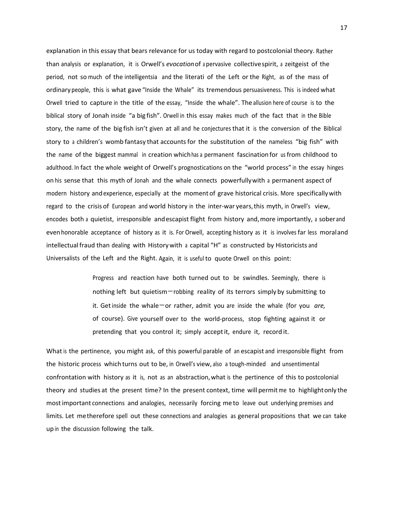explanation in this essay that bears relevance for us today with regard to postcolonial theory. Rather than analysis or explanation, it is Orwell's *evocation*of <sup>a</sup> pervasive collectivespirit, <sup>a</sup> zeitgeist of the period, not so much of the intelligentsia and the literati of the Left or the Right, as of the mass of ordinary people, this is what gave "Inside the Whale" its tremendous persuasiveness. This is indeed what Orwell tried to capture in the title of the essay, "Inside the whale". The allusion here of course is to the biblical story of Jonah inside "a big fish". Orwell in this essay makes much of the fact that in the Bible story, the name of the big fish isn't given at all and he conjectures that it is the conversion of the Biblical story to a children's womb fantasy that accounts for the substitution of the nameless "big fish" with the name of the biggest mammal in creation whichhas a permanent fascination for us from childhood to adulthood. In fact the whole weight of Orwell's prognostications on the "world process" in the essay hinges on his sense that this myth of Jonah and the whale connects powerfullywith <sup>a</sup> permanent aspect of modern history andexperience, especially at the momentof grave historical crisis. More specificallywith regard to the crisis of European and world history in the inter-war years, this myth, in Orwell's view, encodes both <sup>a</sup> quietist, irresponsible andescapist flight from history and,more importantly, <sup>a</sup> soberand evenhonorable acceptance of history as it is. For Orwell, accepting history as it is involves far less moraland intellectual fraud than dealing with Historywith <sup>a</sup> capital "H" as constructed by Historicists and Universalists of the Left and the Right. Again, it is useful to quote Orwell on this point:

> Progress and reaction have both turned out to be swindles. Seemingly, there is nothing left but quietism—robbing reality of its terrors simply by submitting to it. Get inside the whale or rather, admit you are inside the whale (for you *are,* of course). Give yourself over to the world‐process, stop fighting against it or pretending that you control it; simply acceptit, endure it, record it.

What is the pertinence, you might ask, of this powerful parable of an escapist and irresponsible flight from the historic process which turns out to be, in Orwell's view, also a tough-minded and unsentimental confrontation with history as it is, not as an abstraction,what is the pertinence of this to postcolonial theory and studies at the present time? In the present context, time will permit me to highlightonly the mostimportant connections and analogies, necessarily forcing me to leave out underlying premises and limits. Let metherefore spell out these connections and analogies as general propositions that we can take up in the discussion following the talk.

17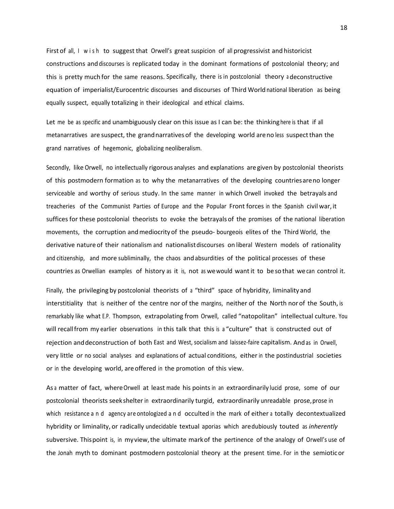First of all, I wish to suggest that Orwell's great suspicion of all progressivist and historicist constructions anddiscourses is replicated today in the dominant formations of postcolonial theory; and this is pretty much for the same reasons. Specifically, there is in postcolonial theory <sup>a</sup> deconstructive equation of imperialist/Eurocentric discourses and discourses of Third Worldnational liberation as being equally suspect, equally totalizing in their ideological and ethical claims.

Let me be as specific and unambiguously clear on this issue as I can be: the thinking here is that if all metanarratives are suspect, the grandnarratives of the developing world areno less suspectthan the grand narratives of hegemonic, globalizing neoliberalism.

Secondly, like Orwell, no intellectually rigorous analyses and explanations are given by postcolonial theorists of this postmodern formation as to why the metanarratives of the developing countriesareno longer serviceable and worthy of serious study. In the same manner in which Orwell invoked the betrayals and treacheries of the Communist Parties of Europe and the Popular Front forces in the Spanish civil war,it suffices for these postcolonial theorists to evoke the betrayals of the promises of the national liberation movements, the corruption andmediocrityof the pseudo‐ bourgeois elites of the Third World, the derivative nature of their nationalism and nationalistdiscourses on liberal Western models of rationality and citizenship, and more subliminally, the chaos andabsurdities of the political processes of these countries as Orwellian examples of history as it is, not as we would want it to be so that we can control it.

Finally, the privileging by postcolonial theorists of <sup>a</sup> "third" space of hybridity, liminality and interstitiality that is neither of the centre nor of the margins, neither of the North nor of the South, is remarkably like what E.P. Thompson, extrapolating from Orwell, called "natopolitan" intellectual culture. You will recallfrom my earlier observations in this talk that this is a "culture" that is constructed out of rejection and deconstruction of both East and West, socialism and laissez-faire capitalism. And as in Orwell, very little or no social analyses and explanations of actual conditions, either in the postindustrial societies or in the developing world, areoffered in the promotion of this view.

As <sup>a</sup> matter of fact, whereOrwell at least made his points in an extraordinarily lucid prose, some of our postcolonial theorists seekshelter in extraordinarily turgid, extraordinarily unreadable prose,prose in which resistance and agency are ontologized and occulted in the mark of either a totally decontextualized hybridity or liminality, or radically undecidable textual aporias which aredubiously touted as *inherently* subversive. This point is, in myview, the ultimate mark of the pertinence of the analogy of Orwell's use of the Jonah myth to dominant postmodern postcolonial theory at the present time. For in the semioticor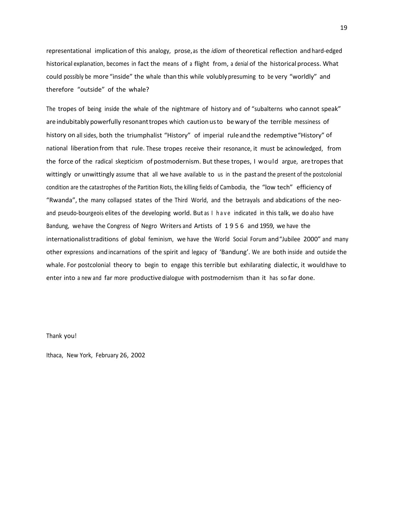representational implication of this analogy, prose,as the *idiom* of theoretical reflection andhard‐edged historical explanation, becomes in fact the means of <sup>a</sup> flight from, a denial of the historical process. What could possibly be more "inside" the whale than this while volublypresuming to be very "worldly" and therefore "outside" of the whale?

The tropes of being inside the whale of the nightmare of history and of "subalterns who cannot speak" are indubitably powerfully resonanttropes which cautionusto bewary of the terrible messiness of history on all sides, both the triumphalist "History" of imperial ruleand the redemptive "History" of national liberation from that rule. These tropes receive their resonance, it must be acknowledged, from the force of the radical skepticism of postmodernism. But these tropes, I would argue, are tropes that wittingly or unwittingly assume that all we have available to us in the pastand the present of the postcolonial condition are the catastrophes of the Partition Riots, the killing fields of Cambodia, the "low tech" efficiency of "Rwanda", the many collapsed states of the Third World, and the betrayals and abdications of the neo‐ and pseudo‐bourgeois elites of the developing world. But as I have indicated in this talk, we do also have Bandung, wehave the Congress of Negro Writers and Artists of 1956 and 1959, we have the internationalisttraditions of global feminism, we have the World Social Forum and"Jubilee 2000" and many other expressions andincarnations of the spirit and legacy of 'Bandung'. We are both inside and outside the whale. For postcolonial theory to begin to engage this terrible but exhilarating dialectic, it wouldhave to enter into a new and far more productivedialogue with postmodernism than it has so far done.

Thank you!

Ithaca, New York, February 26, 2002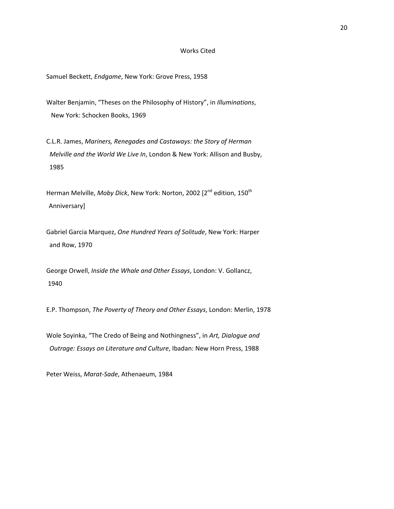## Works Cited

Samuel Beckett, *Endgame*, New York: Grove Press, 1958

Walter Benjamin, "Theses on the Philosophy of History", in *Illuminations*, New York: Schocken Books, 1969

C.L.R. James, *Mariners, Renegades and Castaways: the Story of Herman Melville and the World We Live In*, London & New York: Allison and Busby, 1985

Herman Melville, *Moby Dick*, New York: Norton, 2002 [2<sup>nd</sup> edition, 150<sup>th</sup> Anniversary]

Gabriel Garcia Marquez, *One Hundred Years of Solitude*, New York: Harper and Row, 1970

George Orwell, *Inside the Whale and Other Essays*, London: V. Gollancz, 1940

E.P. Thompson, *The Poverty of Theory and Other Essays*, London: Merlin, 1978

Wole Soyinka, "The Credo of Being and Nothingness", in *Art, Dialogue and Outrage: Essays on Literature and Culture*, Ibadan: New Horn Press, 1988

Peter Weiss, *Marat‐Sade*, Athenaeum, 1984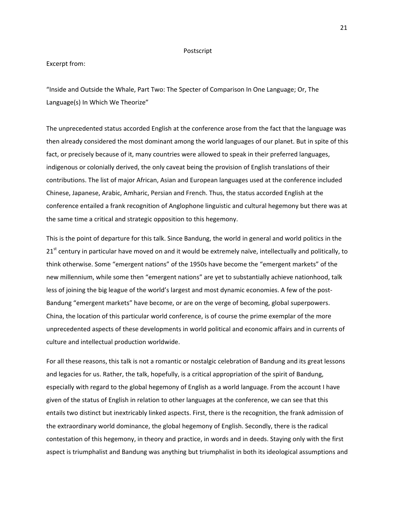## Postscript

## Excerpt from:

"Inside and Outside the Whale, Part Two: The Specter of Comparison In One Language; Or, The Language(s) In Which We Theorize"

The unprecedented status accorded English at the conference arose from the fact that the language was then already considered the most dominant among the world languages of our planet. But in spite of this fact, or precisely because of it, many countries were allowed to speak in their preferred languages, indigenous or colonially derived, the only caveat being the provision of English translations of their contributions. The list of major African, Asian and European languages used at the conference included Chinese, Japanese, Arabic, Amharic, Persian and French. Thus, the status accorded English at the conference entailed a frank recognition of Anglophone linguistic and cultural hegemony but there was at the same time a critical and strategic opposition to this hegemony.

This is the point of departure for this talk. Since Bandung, the world in general and world politics in the  $21<sup>st</sup>$  century in particular have moved on and it would be extremely naïve, intellectually and politically, to think otherwise. Some "emergent nations" of the 1950s have become the "emergent markets" of the new millennium, while some then "emergent nations" are yet to substantially achieve nationhood, talk less of joining the big league of the world's largest and most dynamic economies. A few of the post-Bandung "emergent markets" have become, or are on the verge of becoming, global superpowers. China, the location of this particular world conference, is of course the prime exemplar of the more unprecedented aspects of these developments in world political and economic affairs and in currents of culture and intellectual production worldwide.

For all these reasons, this talk is not a romantic or nostalgic celebration of Bandung and its great lessons and legacies for us. Rather, the talk, hopefully, is a critical appropriation of the spirit of Bandung, especially with regard to the global hegemony of English as a world language. From the account I have given of the status of English in relation to other languages at the conference, we can see that this entails two distinct but inextricably linked aspects. First, there is the recognition, the frank admission of the extraordinary world dominance, the global hegemony of English. Secondly, there is the radical contestation of this hegemony, in theory and practice, in words and in deeds. Staying only with the first aspect is triumphalist and Bandung was anything but triumphalist in both its ideological assumptions and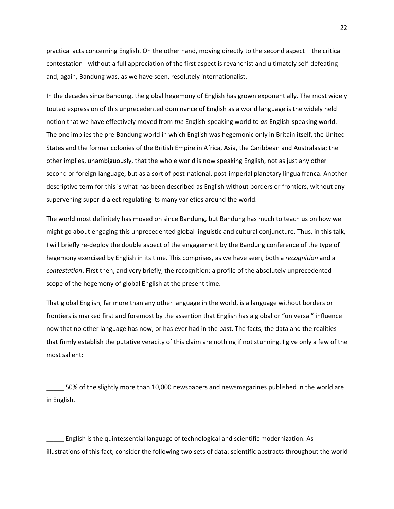practical acts concerning English. On the other hand, moving directly to the second aspect – the critical contestation ‐ without a full appreciation of the first aspect is revanchist and ultimately self‐defeating and, again, Bandung was, as we have seen, resolutely internationalist.

In the decades since Bandung, the global hegemony of English has grown exponentially. The most widely touted expression of this unprecedented dominance of English as a world language is the widely held notion that we have effectively moved from *the* English‐speaking world to *an* English‐speaking world. The one implies the pre‐Bandung world in which English was hegemonic only in Britain itself, the United States and the former colonies of the British Empire in Africa, Asia, the Caribbean and Australasia; the other implies, unambiguously, that the whole world is now speaking English, not as just any other second or foreign language, but as a sort of post-national, post-imperial planetary lingua franca. Another descriptive term for this is what has been described as English without borders or frontiers, without any supervening super‐dialect regulating its many varieties around the world.

The world most definitely has moved on since Bandung, but Bandung has much to teach us on how we might go about engaging this unprecedented global linguistic and cultural conjuncture. Thus, in this talk, I will briefly re‐deploy the double aspect of the engagement by the Bandung conference of the type of hegemony exercised by English in its time. This comprises, as we have seen, both a *recognition* and a *contestation*. First then, and very briefly, the recognition: a profile of the absolutely unprecedented scope of the hegemony of global English at the present time.

That global English, far more than any other language in the world, is a language without borders or frontiers is marked first and foremost by the assertion that English has a global or "universal" influence now that no other language has now, or has ever had in the past. The facts, the data and the realities that firmly establish the putative veracity of this claim are nothing if not stunning. I give only a few of the most salient:

\_\_\_\_\_ 50% of the slightly more than 10,000 newspapers and newsmagazines published in the world are in English.

\_\_\_\_\_ English is the quintessential language of technological and scientific modernization. As illustrations of this fact, consider the following two sets of data: scientific abstracts throughout the world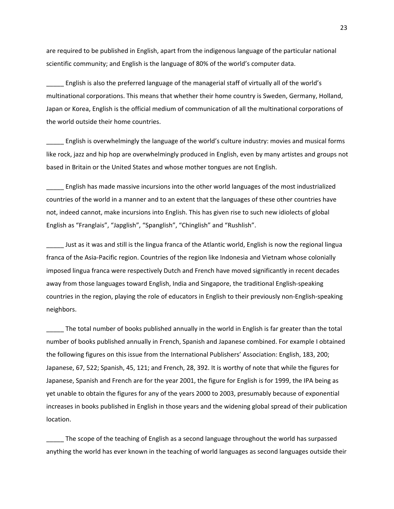are required to be published in English, apart from the indigenous language of the particular national scientific community; and English is the language of 80% of the world's computer data.

\_\_\_\_\_ English is also the preferred language of the managerial staff of virtually all of the world's multinational corporations. This means that whether their home country is Sweden, Germany, Holland, Japan or Korea, English is the official medium of communication of all the multinational corporations of the world outside their home countries.

English is overwhelmingly the language of the world's culture industry: movies and musical forms like rock, jazz and hip hop are overwhelmingly produced in English, even by many artistes and groups not based in Britain or the United States and whose mother tongues are not English.

\_\_\_\_\_ English has made massive incursions into the other world languages of the most industrialized countries of the world in a manner and to an extent that the languages of these other countries have not, indeed cannot, make incursions into English. This has given rise to such new idiolects of global English as "Franglais", "Japglish", "Spanglish", "Chinglish" and "Rushlish".

\_\_\_\_\_ Just as it was and still is the lingua franca of the Atlantic world, English is now the regional lingua franca of the Asia‐Pacific region. Countries of the region like Indonesia and Vietnam whose colonially imposed lingua franca were respectively Dutch and French have moved significantly in recent decades away from those languages toward English, India and Singapore, the traditional English‐speaking countries in the region, playing the role of educators in English to their previously non‐English‐speaking neighbors.

\_\_\_\_\_ The total number of books published annually in the world in English is far greater than the total number of books published annually in French, Spanish and Japanese combined. For example I obtained the following figures on this issue from the International Publishers' Association: English, 183, 200; Japanese, 67, 522; Spanish, 45, 121; and French, 28, 392. It is worthy of note that while the figures for Japanese, Spanish and French are for the year 2001, the figure for English is for 1999, the IPA being as yet unable to obtain the figures for any of the years 2000 to 2003, presumably because of exponential increases in books published in English in those years and the widening global spread of their publication location.

The scope of the teaching of English as a second language throughout the world has surpassed anything the world has ever known in the teaching of world languages as second languages outside their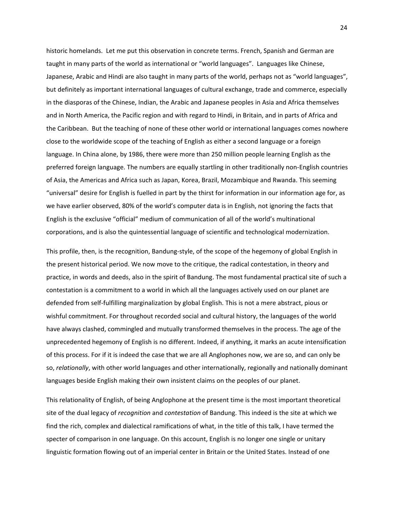historic homelands. Let me put this observation in concrete terms. French, Spanish and German are taught in many parts of the world as international or "world languages". Languages like Chinese, Japanese, Arabic and Hindi are also taught in many parts of the world, perhaps not as "world languages", but definitely as important international languages of cultural exchange, trade and commerce, especially in the diasporas of the Chinese, Indian, the Arabic and Japanese peoples in Asia and Africa themselves and in North America, the Pacific region and with regard to Hindi, in Britain, and in parts of Africa and the Caribbean. But the teaching of none of these other world or international languages comes nowhere close to the worldwide scope of the teaching of English as either a second language or a foreign language. In China alone, by 1986, there were more than 250 million people learning English as the preferred foreign language. The numbers are equally startling in other traditionally non‐English countries of Asia, the Americas and Africa such as Japan, Korea, Brazil, Mozambique and Rwanda. This seeming "universal" desire for English is fuelled in part by the thirst for information in our information age for, as we have earlier observed, 80% of the world's computer data is in English, not ignoring the facts that English is the exclusive "official" medium of communication of all of the world's multinational corporations, and is also the quintessential language of scientific and technological modernization.

This profile, then, is the recognition, Bandung‐style, of the scope of the hegemony of global English in the present historical period. We now move to the critique, the radical contestation, in theory and practice, in words and deeds, also in the spirit of Bandung. The most fundamental practical site of such a contestation is a commitment to a world in which all the languages actively used on our planet are defended from self‐fulfilling marginalization by global English. This is not a mere abstract, pious or wishful commitment. For throughout recorded social and cultural history, the languages of the world have always clashed, commingled and mutually transformed themselves in the process. The age of the unprecedented hegemony of English is no different. Indeed, if anything, it marks an acute intensification of this process. For if it is indeed the case that we are all Anglophones now, we are so, and can only be so, *relationally*, with other world languages and other internationally, regionally and nationally dominant languages beside English making their own insistent claims on the peoples of our planet.

This relationality of English, of being Anglophone at the present time is the most important theoretical site of the dual legacy of *recognition* and *contestation* of Bandung. This indeed is the site at which we find the rich, complex and dialectical ramifications of what, in the title of this talk, I have termed the specter of comparison in one language. On this account, English is no longer one single or unitary linguistic formation flowing out of an imperial center in Britain or the United States. Instead of one